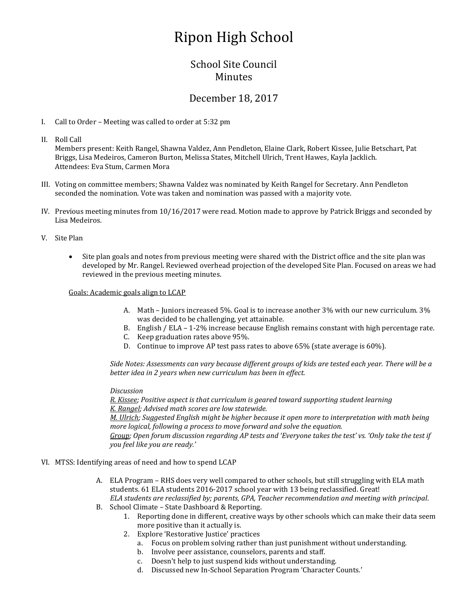# Ripon High School

## School Site Council Minutes

## December 18, 2017

- I. Call to Order Meeting was called to order at 5:32 pm
- II. Roll Call

Members present: Keith Rangel, Shawna Valdez, Ann Pendleton, Elaine Clark, Robert Kissee, Julie Betschart, Pat Briggs, Lisa Medeiros, Cameron Burton, Melissa States, Mitchell Ulrich, Trent Hawes, Kayla Jacklich. Attendees: Eva Stum, Carmen Mora

- III. Voting on committee members; Shawna Valdez was nominated by Keith Rangel for Secretary. Ann Pendleton seconded the nomination. Vote was taken and nomination was passed with a majority vote.
- IV. Previous meeting minutes from 10/16/2017 were read. Motion made to approve by Patrick Briggs and seconded by Lisa Medeiros.
- V. Site Plan
	- Site plan goals and notes from previous meeting were shared with the District office and the site plan was developed by Mr. Rangel. Reviewed overhead projection of the developed Site Plan. Focused on areas we had reviewed in the previous meeting minutes.

Goals: Academic goals align to LCAP

- A. Math Juniors increased 5%. Goal is to increase another 3% with our new curriculum. 3% was decided to be challenging, yet attainable.
- B. English / ELA 1-2% increase because English remains constant with high percentage rate.
- C. Keep graduation rates above 95%.
- D. Continue to improve AP test pass rates to above 65% (state average is 60%).

*Side Notes: Assessments can vary because different groups of kids are tested each year. There will be a better idea in 2 years when new curriculum has been in effect.*

#### *Discussion*

*R. Kissee; Positive aspect is that curriculum is geared toward supporting student learning K. Rangel; Advised math scores are low statewide.*

*M. Ulrich; Suggested English might be higher because it open more to interpretation with math being more logical, following a process to move forward and solve the equation.* 

*Group; Open forum discussion regarding AP tests and 'Everyone takes the test' vs. 'Only take the test if you feel like you are ready.'* 

- VI. MTSS: Identifying areas of need and how to spend LCAP
	- A. ELA Program RHS does very well compared to other schools, but still struggling with ELA math students. 61 ELA students 2016-2017 school year with 13 being reclassified. Great! *ELA students are reclassified by; parents, GPA, Teacher recommendation and meeting with principal*.
	- B. School Climate State Dashboard & Reporting.
		- 1. Reporting done in different, creative ways by other schools which can make their data seem more positive than it actually is.
		- 2. Explore 'Restorative Justice' practices
			- a. Focus on problem solving rather than just punishment without understanding.
			- b. Involve peer assistance, counselors, parents and staff.
			- c. Doesn't help to just suspend kids without understanding.
			- d. Discussed new In-School Separation Program 'Character Counts.'